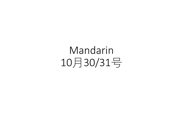Mandarin 10月30/31号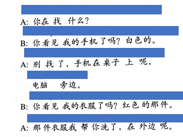A: 你在 找 什么? B: 你看见我的手机了吗? 白色的。 A: 别找了,手机在桌子上呢, 电脑 旁边。 B: 你看见我的衣服了吗? 红色的那件。 A: 那件衣服我 帮 你洗了, 在 外边 呢。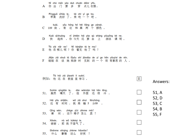| A          | Ní chū mén yào duō chuān diănr yīfu.<br>你 出<br>门 要 多 穿 点儿衣服。                                  |   |                |
|------------|-----------------------------------------------------------------------------------------------|---|----------------|
| B          | Píngguǒ xǐhǎo le, lái chī yí ge ba.<br>苹果 洗好 了 ,来 吃 一 个 吧 。                                   |   |                |
| С          | kuài, yǒu hóng hé hēi liǎng ge yánsè.<br>109 块 , 有 红 和 黑 两 个 颜色 。                             |   |                |
| D          | Kuài qichuáng ni jīntiān hái yào qù shàng yóuyǒng kè ne.<br>起床 , 你 今天 还 要 去 上   游泳 课 呢 。<br>快 |   |                |
| Е          | Tā zài năr ne? Ní kànjiàn tā le ma?<br>他 在哪儿呢 ? 你 看见 他了 吗 ?                                   |   |                |
|            | Jiějie zài shuō tā lŬyóu shí jiàndào de yí ge hěn yǒuyìsi de rén.                             |   |                |
|            | 姐姐 在 说 她 旅游 时 见到 的 一 个 很 有意思 的 人 。                                                            |   |                |
| F<br>例如:   | Tā hái zài jiàoshì li xuéxí.<br>他 还 在 教室 里 学习 。                                               | Е | Answers:       |
| 51.        | Suīrán qíngtiān le, dàn wàimiàn hái hěn lěng.<br>虽然   晴天  了 ,  但   外面<br>还很冷。                 |   | 51, A          |
|            | Hái yǒu shíjiān, wǒ zài shuì fēnzhōng.<br>还有 时间,我再睡5分钟。                                       |   | 52, D<br>53, C |
| 53.        | zhège yĭzi zěnme mài?<br>Qing wèn,<br>问 , 这个 椅子 怎么<br>请<br>卖 ?                                |   | 54, B<br>55, F |
| 52.<br>54. | nà wǒ búkèqi le.<br>Xièxie,<br>谢谢 , 那 我 不客气 了 。                                               |   |                |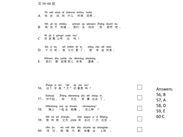第 56-60题

Tā méi shuō tā shénme shíhou huílai. A 他 没 说 他 什么 时候 回来 。 Wǒ yě bù zhīdào, wǒmen qù wènwen Zhāng lǎoshī ba. B 我也不知道, 我们去问问 张 老师吧。 Ní jiā lí gongsī yuǎn ma? C 你 家 离 公司 远 吗 ? Xià cì ba, wǒ jīntiān lèi le, xiǎng zǎo xiē xiūxi. D 下次吧, 我今天累了, 想 早些休息。 Wǒmen dōu juéde nàr fēicháng piàoliang. 我们 都 觉得 那儿 非常 漂亮 。 E

|     | Zhège zì shì "dà" de yìsi ma?<br>56. 这个字是"大"的意思吗?                            | Answers:       |
|-----|------------------------------------------------------------------------------|----------------|
|     | Zhāng xiānsheng yǒu shì chūqu le.<br>Duìbuaĭ,<br>57. 对不起 , 张 先生 有事 出去 了 。    | 56, B<br>57, A |
| 58. | Wănshang yìqǐ qù tiàowǔ, zěnmeyàng?<br>晚上 一起 去 跳舞 , 怎么样 ?                    | 58, D<br>59, E |
|     | Wǒ hé wǒ zhàngfu nián qùguo yí cì Běijīng.<br>59. 我 和 我 丈夫 2008 年 去过 一次 北京 。 | 60 C           |
| 60. | Hěn jìn, wǒ měi tiān dōu zǒuzhe qù shàngbān.                                 |                |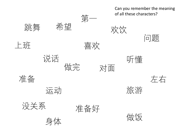身体 跳舞 问题 运动 希望 做饭 左右 说话 喜欢 准备 没关系 准备好 对面 听懂 做完 上班 第一 旅游 欢饮 Can you remember the meaning of all these characters?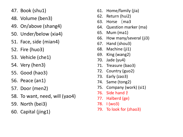- 47. Book (shu1)
- 48. Volume (ben3)
- 49. On/above (shang4)
- 50. Under/below (xia4)
- 51. Face, side (mian4)
- 52. Fire (huo3)
- 53. Vehicle (che1)
- 54. Very (hen3)
- 55. Good (hao3)
- 56. Peace (an1)
- 57. Door (men2)
- 58. To want, need, will (yao4)
- 59. North (bei3)
- 60. Capital (jing1)
- 61. Home/family (jia )
- 62. Return (hui2)
- 63. Horse (ma3
- 64. Question marker (ma)
- 65. Mum (ma1)
- 66. How many/several (ji3)
- 67. Hand (shou3)
- 68. Machine (ji1)
- 69. King (wang2)
- 70. Jade (yu4)
- 71. Treasure (bao3)
- 72. Country (guo2)
- 73. Early (zao3)
- 74. Same (tong2)
- 75. Company (work) (si1)
- 76. Side hand 扌
- 77. Halberd (ge )
- 78. I (wo3)
- 79. To look for (zhao3)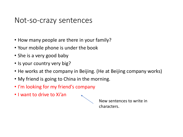## Not-so-crazy sentences

- How many people are there in your family?
- Your mobile phone is under the book
- She is a very good baby
- Is your country very big?
- He works at the company in Beijing. (He at Beijing company works)
- My friend is going to China in the morning.
- I'm looking for my friend's company
- I want to drive to Xi'an



New sentences to write in characters.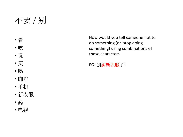## 不要 / 别

- 看
- 吃
- 玩
- 买
- 喝
- 咖啡
- 手机
- 新衣服
- 药
- 电视

How would you tell someone not to do something (or 'stop doing something) using combinations of these characters

EG: 别买新衣服了!